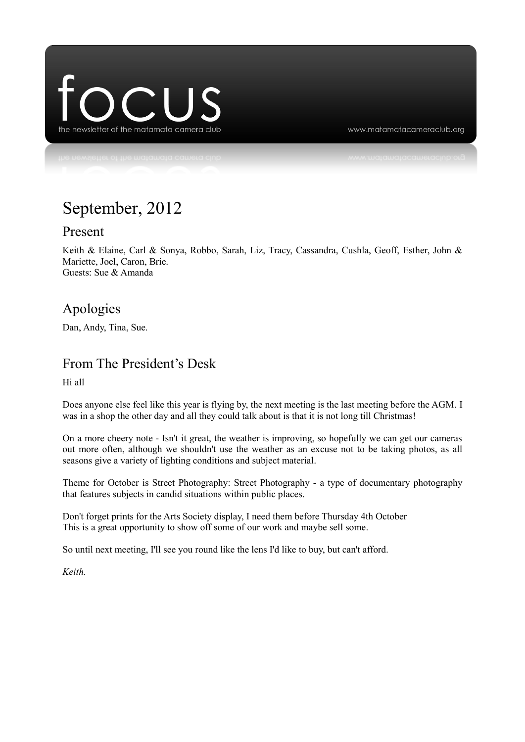

www.matamatacameraclub.org

# September, 2012

#### Present

Keith & Elaine, Carl & Sonya, Robbo, Sarah, Liz, Tracy, Cassandra, Cushla, Geoff, Esther, John & Mariette, Joel, Caron, Brie. Guests: Sue & Amanda

### Apologies

Dan, Andy, Tina, Sue.

#### From The President's Desk

Hi all

Does anyone else feel like this year is flying by, the next meeting is the last meeting before the AGM. I was in a shop the other day and all they could talk about is that it is not long till Christmas!

On a more cheery note - Isn't it great, the weather is improving, so hopefully we can get our cameras out more often, although we shouldn't use the weather as an excuse not to be taking photos, as all seasons give a variety of lighting conditions and subject material.

Theme for October is Street Photography: Street Photography - a type of documentary photography that features subjects in candid situations within public places.

Don't forget prints for the Arts Society display, I need them before Thursday 4th October This is a great opportunity to show off some of our work and maybe sell some.

So until next meeting, I'll see you round like the lens I'd like to buy, but can't afford.

*Keith.*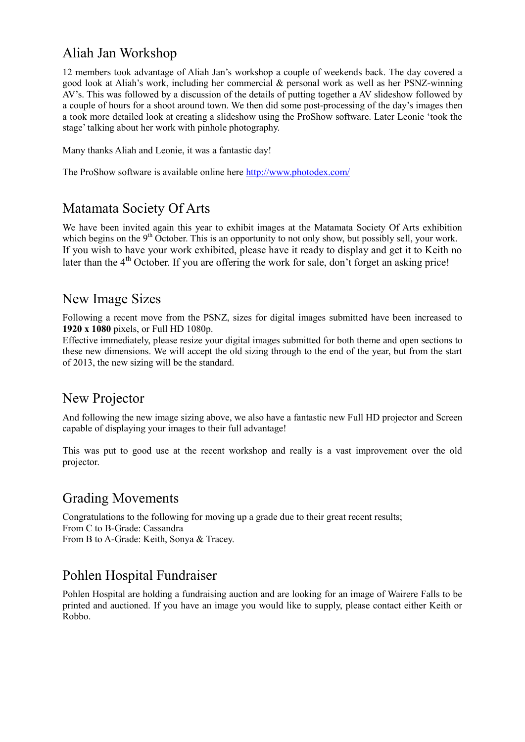### Aliah Jan Workshop

12 members took advantage of Aliah Jan's workshop a couple of weekends back. The day covered a good look at Aliah's work, including her commercial & personal work as well as her PSNZ-winning AV's. This was followed by a discussion of the details of putting together a AV slideshow followed by a couple of hours for a shoot around town. We then did some post-processing of the day's images then a took more detailed look at creating a slideshow using the ProShow software. Later Leonie 'took the stage' talking about her work with pinhole photography.

Many thanks Aliah and Leonie, it was a fantastic day!

The ProShow software is available online here<http://www.photodex.com/>

### Matamata Society Of Arts

We have been invited again this year to exhibit images at the Matamata Society Of Arts exhibition which begins on the 9<sup>th</sup> October. This is an opportunity to not only show, but possibly sell, your work. If you wish to have your work exhibited, please have it ready to display and get it to Keith no later than the  $4<sup>th</sup>$  October. If you are offering the work for sale, don't forget an asking price!

### New Image Sizes

Following a recent move from the PSNZ, sizes for digital images submitted have been increased to **1920 x 1080** pixels, or Full HD 1080p.

Effective immediately, please resize your digital images submitted for both theme and open sections to these new dimensions. We will accept the old sizing through to the end of the year, but from the start of 2013, the new sizing will be the standard.

### New Projector

And following the new image sizing above, we also have a fantastic new Full HD projector and Screen capable of displaying your images to their full advantage!

This was put to good use at the recent workshop and really is a vast improvement over the old projector.

### Grading Movements

Congratulations to the following for moving up a grade due to their great recent results; From C to B-Grade: Cassandra From B to A-Grade: Keith, Sonya & Tracey.

### Pohlen Hospital Fundraiser

Pohlen Hospital are holding a fundraising auction and are looking for an image of Wairere Falls to be printed and auctioned. If you have an image you would like to supply, please contact either Keith or Robbo.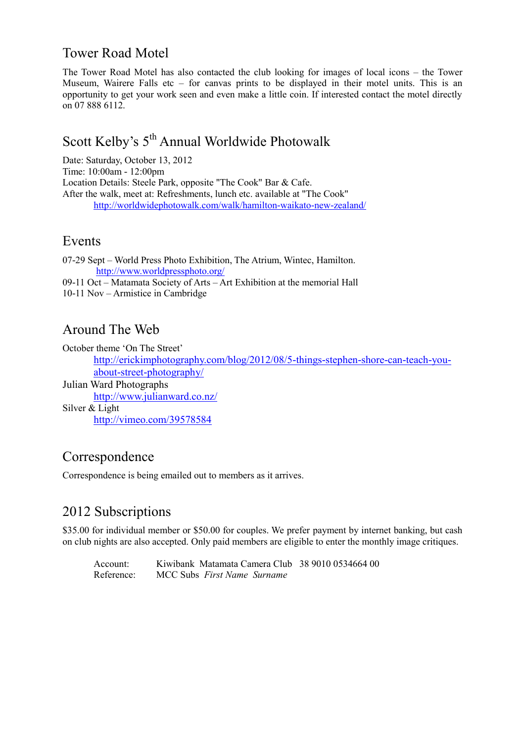### Tower Road Motel

The Tower Road Motel has also contacted the club looking for images of local icons – the Tower Museum, Wairere Falls etc – for canvas prints to be displayed in their motel units. This is an opportunity to get your work seen and even make a little coin. If interested contact the motel directly on 07 888 6112.

## Scott Kelby's 5<sup>th</sup> Annual Worldwide Photowalk

Date: Saturday, October 13, 2012 Time: 10:00am - 12:00pm Location Details: Steele Park, opposite "The Cook" Bar & Cafe. After the walk, meet at: Refreshments, lunch etc. available at "The Cook" <http://worldwidephotowalk.com/walk/hamilton-waikato-new-zealand/>

#### Events

07-29 Sept – World Press Photo Exhibition, The Atrium, Wintec, Hamilton. <http://www.worldpressphoto.org/>

09-11 Oct – Matamata Society of Arts – Art Exhibition at the memorial Hall

10-11 Nov – Armistice in Cambridge

### Around The Web

October theme 'On The Street'

[http://erickimphotography.com/blog/2012/08/5-things-stephen-shore-can-teach-you](http://erickimphotography.com/blog/2012/08/5-things-stephen-shore-can-teach-you-about-street-photography/)[about-street-photography/](http://erickimphotography.com/blog/2012/08/5-things-stephen-shore-can-teach-you-about-street-photography/)

Julian Ward Photographs <http://www.julianward.co.nz/> Silver & Light <http://vimeo.com/39578584>

### Correspondence

Correspondence is being emailed out to members as it arrives.

### 2012 Subscriptions

\$35.00 for individual member or \$50.00 for couples. We prefer payment by internet banking, but cash on club nights are also accepted. Only paid members are eligible to enter the monthly image critiques.

Account: Kiwibank Matamata Camera Club 38 9010 0534664 00 Reference: MCC Subs *First Name Surname*